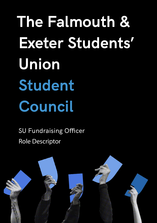**The Falmouth & Exeter Students' Union Student Council**

SU Fundraising Officer Role Descriptor

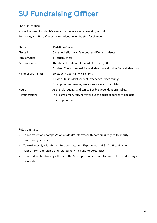## **SU Fundraising Officer**

## Short Description:

You will represent students' views and experience when working with SU Presidents, and SU staff to engage students in fundraising for charities.

| Status:            | Part-Time Officer                                                      |
|--------------------|------------------------------------------------------------------------|
| Elected:           | By secret ballot by all Falmouth and Exeter students                   |
| Term of Office:    | 1 Academic Year                                                        |
| Accountable to:    | The student body via SU Board of Trustees, SU                          |
|                    | Student Council, Annual General Meeting and Union General Meetings     |
| Member of/attends: | SU Student Council (twice a term)                                      |
|                    | 1:1 with SU President Student Experience (twice termly)                |
|                    | Other groups or meetings as appropriate and mandated                   |
| Hours:             | As the role requires and can be flexible dependent on studies.         |
| Remuneration:      | This is a voluntary role, however, out of pocket expenses will be paid |
|                    | where appropriate.                                                     |

Role Summary:

- To represent and campaign on students' interests with particular regard to charity fundraising activities.
- To work closely with the SU President Student Experience and SU Staff to develop support for fundraising and related activities and opportunities.
- To report on fundraising efforts to the SU Opportunities team to ensure the fundraising is celebrated.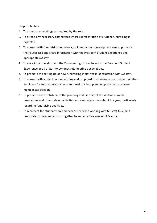Responsibilities:

- 1. To attend any meetings as required by the role.
- 2. To attend any necessary committees where representation of student fundraising is expected.
- 3. To consult with fundraising volunteers, to identify their development needs, promote their successes and share information with the President Student Experience and appropriate SU staff.
- 4. To work in partnership with the Volunteering Officer to assist the President Student Experience and SU Staff to conduct volunteering observations.
- 5. To promote the setting up of new fundraising initiatives in consultation with SU staff.
- 6. To consult with students about existing and proposed fundraising opportunities, facilities and ideas for future developments and feed this into planning processes to ensure member satisfaction.
- 7. To promote and contribute to the planning and delivery of the Welcome Week programme and other related activities and campaigns throughout the year, particularly regarding fundraising activities.
- 8. To represent the student view and experience when working with SU staff to submit proposals for relevant activity together to enhance this area of SU's work.